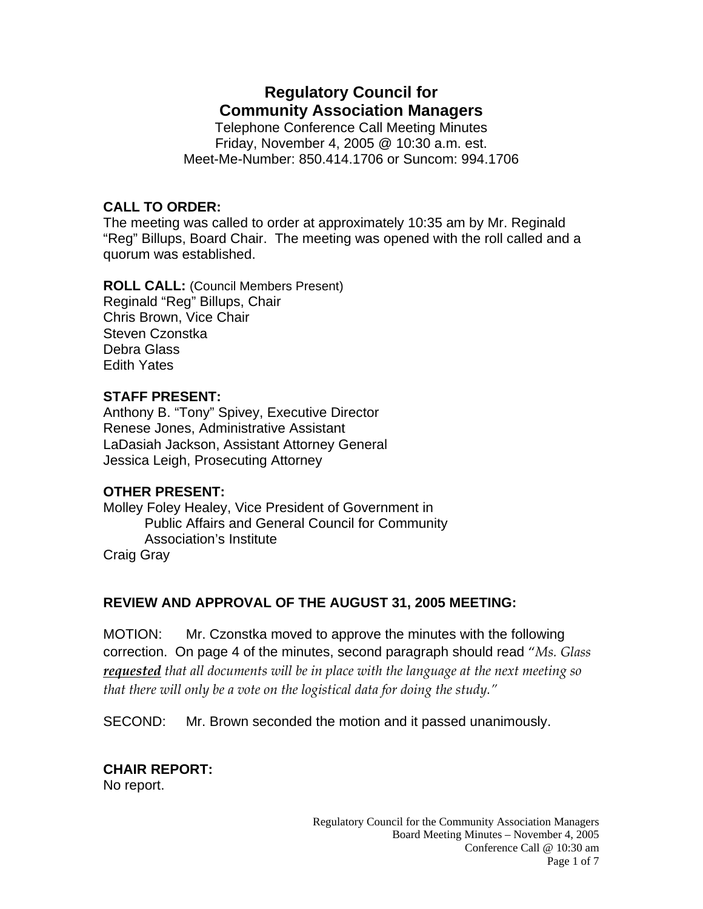# **Regulatory Council for Community Association Managers**

Telephone Conference Call Meeting Minutes Friday, November 4, 2005 @ 10:30 a.m. est. Meet-Me-Number: 850.414.1706 or Suncom: 994.1706

### **CALL TO ORDER:**

The meeting was called to order at approximately 10:35 am by Mr. Reginald "Reg" Billups, Board Chair. The meeting was opened with the roll called and a quorum was established.

**ROLL CALL:** (Council Members Present) Reginald "Reg" Billups, Chair Chris Brown, Vice Chair Steven Czonstka Debra Glass Edith Yates

### **STAFF PRESENT:**

Anthony B. "Tony" Spivey, Executive Director Renese Jones, Administrative Assistant LaDasiah Jackson, Assistant Attorney General Jessica Leigh, Prosecuting Attorney

### **OTHER PRESENT:**

Molley Foley Healey, Vice President of Government in Public Affairs and General Council for Community Association's Institute Craig Gray

### **REVIEW AND APPROVAL OF THE AUGUST 31, 2005 MEETING:**

MOTION: Mr. Czonstka moved to approve the minutes with the following correction. On page 4 of the minutes, second paragraph should read "*Ms. Glass requested that all documents will be in place with the language at the next meeting so that there will only be a vote on the logistical data for doing the study."*

SECOND: Mr. Brown seconded the motion and it passed unanimously.

# **CHAIR REPORT:**

No report.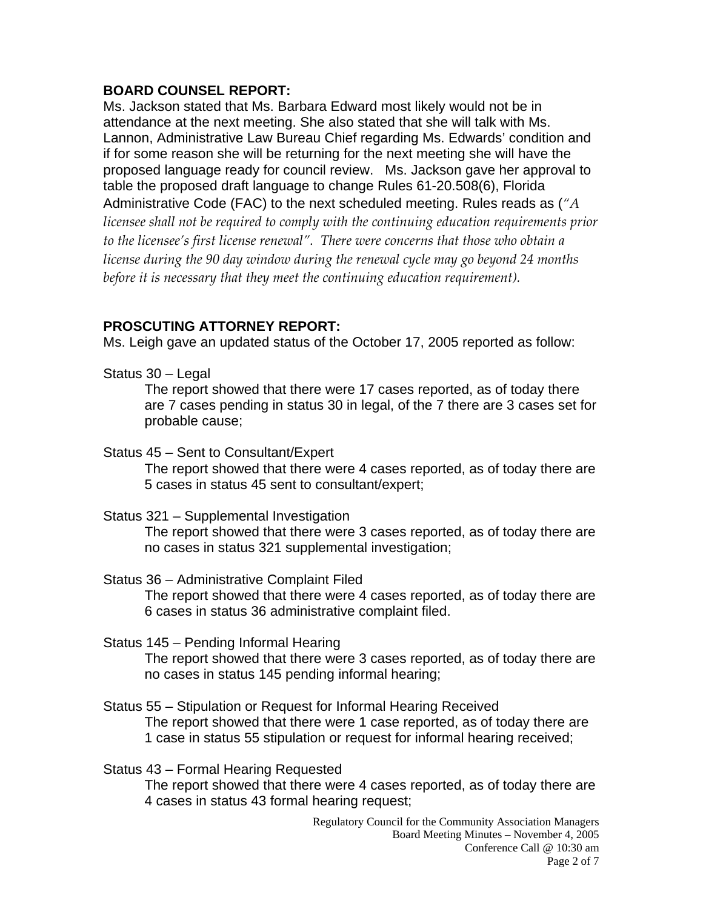### **BOARD COUNSEL REPORT:**

Ms. Jackson stated that Ms. Barbara Edward most likely would not be in attendance at the next meeting. She also stated that she will talk with Ms. Lannon, Administrative Law Bureau Chief regarding Ms. Edwards' condition and if for some reason she will be returning for the next meeting she will have the proposed language ready for council review. Ms. Jackson gave her approval to table the proposed draft language to change Rules 61-20.508(6), Florida Administrative Code (FAC) to the next scheduled meeting. Rules reads as (*"A licensee shall not be required to comply with the continuing education requirements prior to the licensee's first license renewal". There were concerns that those who obtain a license during the 90 day window during the renewal cycle may go beyond 24 months before it is necessary that they meet the continuing education requirement).* 

### **PROSCUTING ATTORNEY REPORT:**

Ms. Leigh gave an updated status of the October 17, 2005 reported as follow:

Status 30 – Legal

The report showed that there were 17 cases reported, as of today there are 7 cases pending in status 30 in legal, of the 7 there are 3 cases set for probable cause;

Status 45 – Sent to Consultant/Expert

The report showed that there were 4 cases reported, as of today there are 5 cases in status 45 sent to consultant/expert;

Status 321 – Supplemental Investigation

The report showed that there were 3 cases reported, as of today there are no cases in status 321 supplemental investigation;

Status 36 – Administrative Complaint Filed The report showed that there were 4 cases reported, as of today there are 6 cases in status 36 administrative complaint filed.

- Status 145 Pending Informal Hearing The report showed that there were 3 cases reported, as of today there are no cases in status 145 pending informal hearing;
- Status 55 Stipulation or Request for Informal Hearing Received The report showed that there were 1 case reported, as of today there are 1 case in status 55 stipulation or request for informal hearing received;

Status 43 – Formal Hearing Requested

The report showed that there were 4 cases reported, as of today there are 4 cases in status 43 formal hearing request;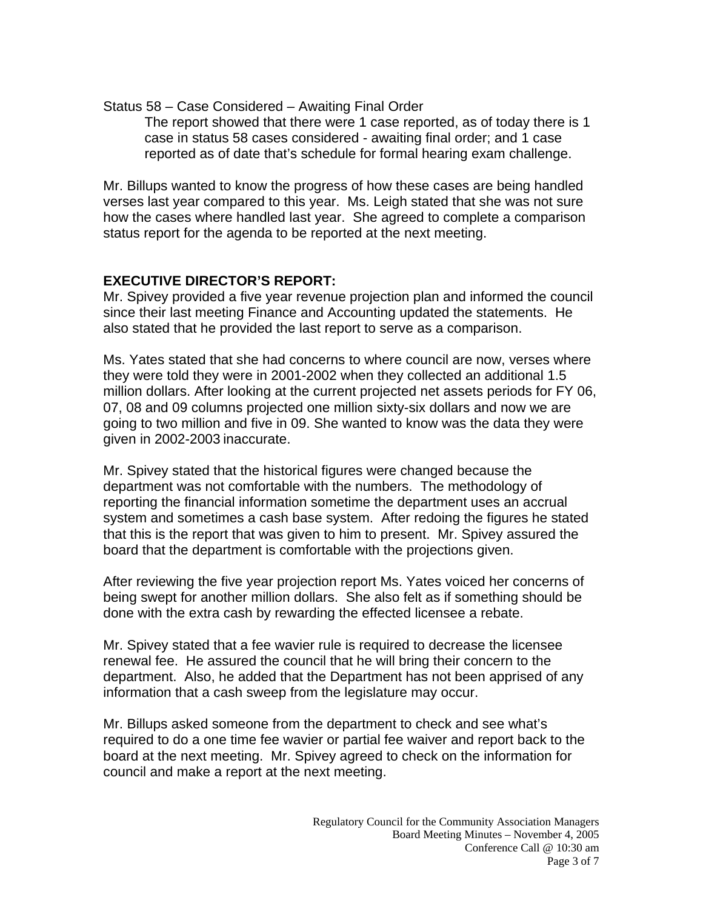Status 58 – Case Considered – Awaiting Final Order

The report showed that there were 1 case reported, as of today there is 1 case in status 58 cases considered - awaiting final order; and 1 case reported as of date that's schedule for formal hearing exam challenge.

Mr. Billups wanted to know the progress of how these cases are being handled verses last year compared to this year. Ms. Leigh stated that she was not sure how the cases where handled last year. She agreed to complete a comparison status report for the agenda to be reported at the next meeting.

# **EXECUTIVE DIRECTOR'S REPORT:**

Mr. Spivey provided a five year revenue projection plan and informed the council since their last meeting Finance and Accounting updated the statements. He also stated that he provided the last report to serve as a comparison.

Ms. Yates stated that she had concerns to where council are now, verses where they were told they were in 2001-2002 when they collected an additional 1.5 million dollars. After looking at the current projected net assets periods for FY 06, 07, 08 and 09 columns projected one million sixty-six dollars and now we are going to two million and five in 09. She wanted to know was the data they were given in 2002-2003 inaccurate.

Mr. Spivey stated that the historical figures were changed because the department was not comfortable with the numbers. The methodology of reporting the financial information sometime the department uses an accrual system and sometimes a cash base system. After redoing the figures he stated that this is the report that was given to him to present. Mr. Spivey assured the board that the department is comfortable with the projections given.

After reviewing the five year projection report Ms. Yates voiced her concerns of being swept for another million dollars. She also felt as if something should be done with the extra cash by rewarding the effected licensee a rebate.

Mr. Spivey stated that a fee wavier rule is required to decrease the licensee renewal fee. He assured the council that he will bring their concern to the department. Also, he added that the Department has not been apprised of any information that a cash sweep from the legislature may occur.

Mr. Billups asked someone from the department to check and see what's required to do a one time fee wavier or partial fee waiver and report back to the board at the next meeting. Mr. Spivey agreed to check on the information for council and make a report at the next meeting.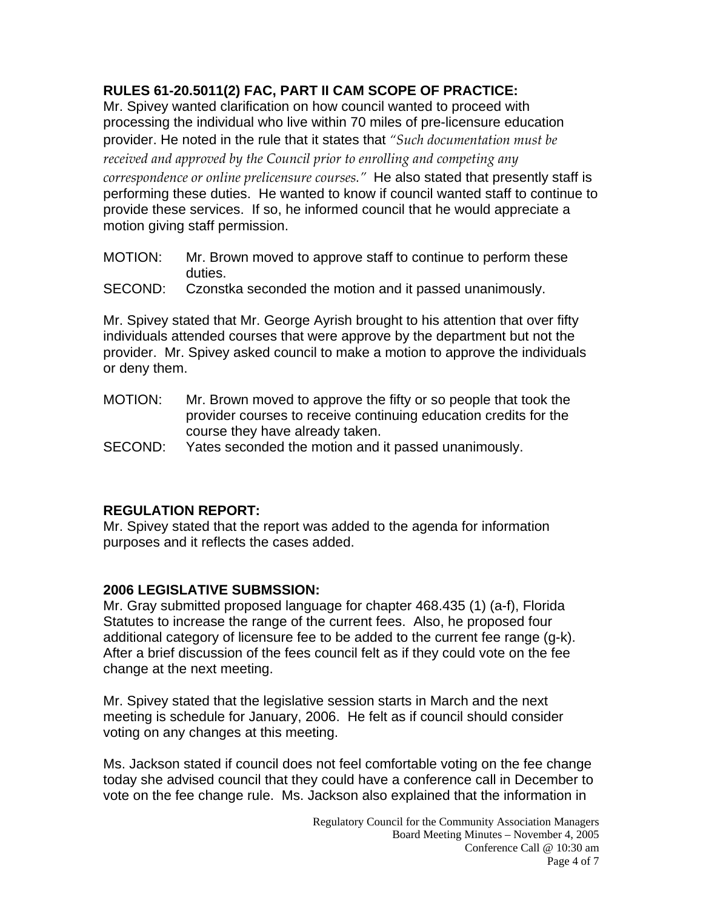# **RULES 61-20.5011(2) FAC, PART II CAM SCOPE OF PRACTICE:**

Mr. Spivey wanted clarification on how council wanted to proceed with processing the individual who live within 70 miles of pre-licensure education provider. He noted in the rule that it states that *"Such documentation must be*

*received and approved by the Council prior to enrolling and competing any correspondence or online prelicensure courses."* He also stated that presently staff is performing these duties. He wanted to know if council wanted staff to continue to provide these services. If so, he informed council that he would appreciate a motion giving staff permission.

- MOTION: Mr. Brown moved to approve staff to continue to perform these duties.
- SECOND: Czonstka seconded the motion and it passed unanimously.

Mr. Spivey stated that Mr. George Ayrish brought to his attention that over fifty individuals attended courses that were approve by the department but not the provider. Mr. Spivey asked council to make a motion to approve the individuals or deny them.

- MOTION: Mr. Brown moved to approve the fifty or so people that took the provider courses to receive continuing education credits for the course they have already taken.
- SECOND: Yates seconded the motion and it passed unanimously.

# **REGULATION REPORT:**

Mr. Spivey stated that the report was added to the agenda for information purposes and it reflects the cases added.

### **2006 LEGISLATIVE SUBMSSION:**

Mr. Gray submitted proposed language for chapter 468.435 (1) (a-f), Florida Statutes to increase the range of the current fees. Also, he proposed four additional category of licensure fee to be added to the current fee range (g-k). After a brief discussion of the fees council felt as if they could vote on the fee change at the next meeting.

Mr. Spivey stated that the legislative session starts in March and the next meeting is schedule for January, 2006. He felt as if council should consider voting on any changes at this meeting.

Ms. Jackson stated if council does not feel comfortable voting on the fee change today she advised council that they could have a conference call in December to vote on the fee change rule. Ms. Jackson also explained that the information in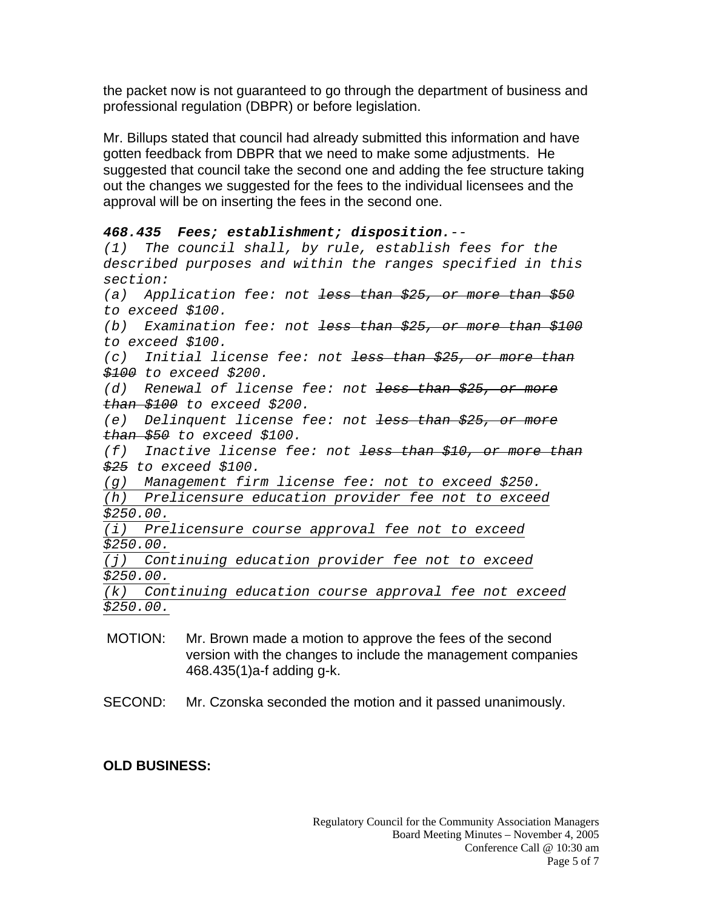the packet now is not guaranteed to go through the department of business and professional regulation (DBPR) or before legislation.

Mr. Billups stated that council had already submitted this information and have gotten feedback from DBPR that we need to make some adjustments. He suggested that council take the second one and adding the fee structure taking out the changes we suggested for the fees to the individual licensees and the approval will be on inserting the fees in the second one.

```
468.435 Fees; establishment; disposition.--
```
*(1) The council shall, by rule, establish fees for the described purposes and within the ranges specified in this section: (a) Application fee: not less than \$25, or more than \$50 to exceed \$100. (b) Examination fee: not less than \$25, or more than \$100 to exceed \$100. (c) Initial license fee: not less than \$25, or more than \$100 to exceed \$200. (d) Renewal of license fee: not less than \$25, or more than \$100 to exceed \$200. (e) Delinquent license fee: not less than \$25, or more than \$50 to exceed \$100. (f) Inactive license fee: not less than \$10, or more than \$25 to exceed \$100.* 

*(g) Management firm license fee: not to exceed \$250. (h) Prelicensure education provider fee not to exceed* 

*\$250.00.*

*(i) Prelicensure course approval fee not to exceed \$250.00.*

*(j) Continuing education provider fee not to exceed \$250.00.*

*(k) Continuing education course approval fee not exceed \$250.00.*

- MOTION: Mr. Brown made a motion to approve the fees of the second version with the changes to include the management companies 468.435(1)a-f adding g-k.
- SECOND: Mr. Czonska seconded the motion and it passed unanimously.

# **OLD BUSINESS:**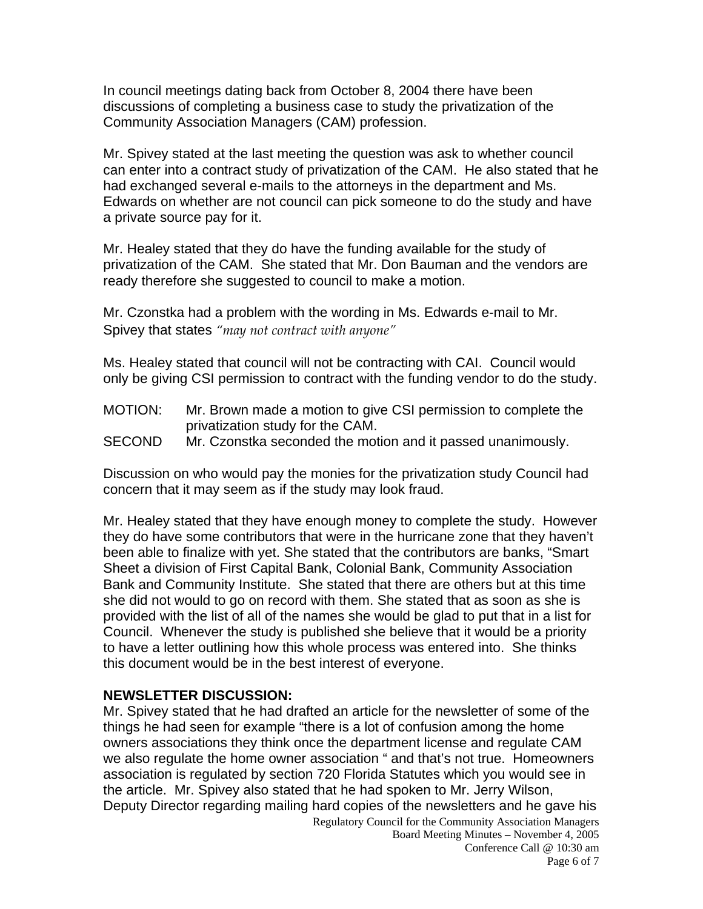In council meetings dating back from October 8, 2004 there have been discussions of completing a business case to study the privatization of the Community Association Managers (CAM) profession.

Mr. Spivey stated at the last meeting the question was ask to whether council can enter into a contract study of privatization of the CAM. He also stated that he had exchanged several e-mails to the attorneys in the department and Ms. Edwards on whether are not council can pick someone to do the study and have a private source pay for it.

Mr. Healey stated that they do have the funding available for the study of privatization of the CAM. She stated that Mr. Don Bauman and the vendors are ready therefore she suggested to council to make a motion.

Mr. Czonstka had a problem with the wording in Ms. Edwards e-mail to Mr. Spivey that states *"may not contract with anyone"*

Ms. Healey stated that council will not be contracting with CAI. Council would only be giving CSI permission to contract with the funding vendor to do the study.

- MOTION: Mr. Brown made a motion to give CSI permission to complete the privatization study for the CAM.
- SECOND Mr. Czonstka seconded the motion and it passed unanimously.

Discussion on who would pay the monies for the privatization study Council had concern that it may seem as if the study may look fraud.

Mr. Healey stated that they have enough money to complete the study. However they do have some contributors that were in the hurricane zone that they haven't been able to finalize with yet. She stated that the contributors are banks, "Smart Sheet a division of First Capital Bank, Colonial Bank, Community Association Bank and Community Institute. She stated that there are others but at this time she did not would to go on record with them. She stated that as soon as she is provided with the list of all of the names she would be glad to put that in a list for Council. Whenever the study is published she believe that it would be a priority to have a letter outlining how this whole process was entered into. She thinks this document would be in the best interest of everyone.

### **NEWSLETTER DISCUSSION:**

Regulatory Council for the Community Association Managers Mr. Spivey stated that he had drafted an article for the newsletter of some of the things he had seen for example "there is a lot of confusion among the home owners associations they think once the department license and regulate CAM we also regulate the home owner association " and that's not true. Homeowners association is regulated by section 720 Florida Statutes which you would see in the article. Mr. Spivey also stated that he had spoken to Mr. Jerry Wilson, Deputy Director regarding mailing hard copies of the newsletters and he gave his

Board Meeting Minutes – November 4, 2005 Conference Call @ 10:30 am Page 6 of 7